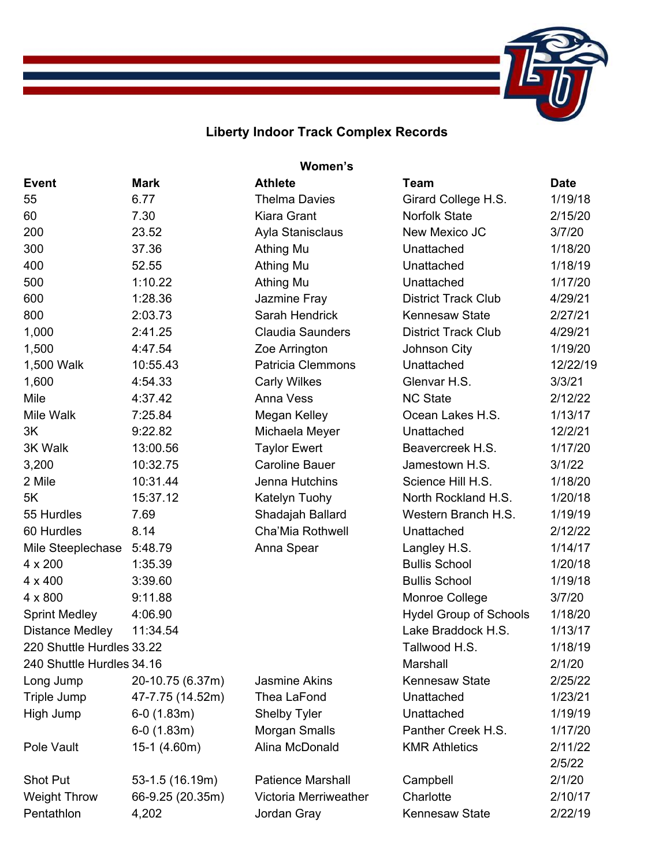## **Liberty Indoor Track Complex Records**

| Women's                   |                  |                          |                               |             |  |  |  |
|---------------------------|------------------|--------------------------|-------------------------------|-------------|--|--|--|
| <b>Event</b>              | <b>Mark</b>      | <b>Athlete</b>           | <b>Team</b>                   | <b>Date</b> |  |  |  |
| 55                        | 6.77             | <b>Thelma Davies</b>     | Girard College H.S.           | 1/19/18     |  |  |  |
| 60                        | 7.30             | Kiara Grant              | <b>Norfolk State</b>          | 2/15/20     |  |  |  |
| 200                       | 23.52            | Ayla Stanisclaus         | New Mexico JC                 | 3/7/20      |  |  |  |
| 300                       | 37.36            | Athing Mu                | Unattached                    | 1/18/20     |  |  |  |
| 400                       | 52.55            | Athing Mu                | Unattached                    | 1/18/19     |  |  |  |
| 500                       | 1:10.22          | <b>Athing Mu</b>         | Unattached                    | 1/17/20     |  |  |  |
| 600                       | 1:28.36          | Jazmine Fray             | <b>District Track Club</b>    | 4/29/21     |  |  |  |
| 800                       | 2:03.73          | Sarah Hendrick           | <b>Kennesaw State</b>         | 2/27/21     |  |  |  |
| 1,000                     | 2:41.25          | <b>Claudia Saunders</b>  | <b>District Track Club</b>    | 4/29/21     |  |  |  |
| 1,500                     | 4:47.54          | Zoe Arrington            | Johnson City                  | 1/19/20     |  |  |  |
| 1,500 Walk                | 10:55.43         | <b>Patricia Clemmons</b> | Unattached                    | 12/22/19    |  |  |  |
| 1,600                     | 4:54.33          | <b>Carly Wilkes</b>      | Glenvar H.S.                  | 3/3/21      |  |  |  |
| Mile                      | 4:37.42          | <b>Anna Vess</b>         | <b>NC State</b>               | 2/12/22     |  |  |  |
| Mile Walk                 | 7:25.84          | Megan Kelley             | Ocean Lakes H.S.              | 1/13/17     |  |  |  |
| 3K                        | 9:22.82          | Michaela Meyer           | Unattached                    | 12/2/21     |  |  |  |
| 3K Walk                   | 13:00.56         | <b>Taylor Ewert</b>      | Beavercreek H.S.              | 1/17/20     |  |  |  |
| 3,200                     | 10:32.75         | <b>Caroline Bauer</b>    | Jamestown H.S.                | 3/1/22      |  |  |  |
| 2 Mile                    | 10:31.44         | Jenna Hutchins           | Science Hill H.S.             | 1/18/20     |  |  |  |
| 5K                        | 15:37.12         | Katelyn Tuohy            | North Rockland H.S.           | 1/20/18     |  |  |  |
| 55 Hurdles                | 7.69             | Shadajah Ballard         | Western Branch H.S.           | 1/19/19     |  |  |  |
| 60 Hurdles                | 8.14             | Cha'Mia Rothwell         | Unattached                    | 2/12/22     |  |  |  |
| Mile Steeplechase         | 5:48.79          | Anna Spear               | Langley H.S.                  | 1/14/17     |  |  |  |
| 4 x 200                   | 1:35.39          |                          | <b>Bullis School</b>          | 1/20/18     |  |  |  |
| 4 x 400                   | 3:39.60          |                          | <b>Bullis School</b>          | 1/19/18     |  |  |  |
| 4 x 800                   | 9:11.88          |                          | Monroe College                | 3/7/20      |  |  |  |
| <b>Sprint Medley</b>      | 4:06.90          |                          | <b>Hydel Group of Schools</b> | 1/18/20     |  |  |  |
| <b>Distance Medley</b>    | 11:34.54         |                          | Lake Braddock H.S.            | 1/13/17     |  |  |  |
| 220 Shuttle Hurdles 33.22 |                  |                          | Tallwood H.S.                 | 1/18/19     |  |  |  |
| 240 Shuttle Hurdles 34.16 |                  |                          | Marshall                      | 2/1/20      |  |  |  |
| Long Jump                 | 20-10.75 (6.37m) | <b>Jasmine Akins</b>     | <b>Kennesaw State</b>         | 2/25/22     |  |  |  |
| Triple Jump               | 47-7.75 (14.52m) | Thea LaFond              | Unattached                    | 1/23/21     |  |  |  |
| High Jump                 | $6-0(1.83m)$     | <b>Shelby Tyler</b>      | Unattached                    | 1/19/19     |  |  |  |
|                           | $6-0(1.83m)$     | Morgan Smalls            | Panther Creek H.S.            | 1/17/20     |  |  |  |
| Pole Vault                | 15-1 (4.60m)     | Alina McDonald           | <b>KMR Athletics</b>          | 2/11/22     |  |  |  |
|                           |                  |                          |                               | 2/5/22      |  |  |  |
| Shot Put                  | 53-1.5 (16.19m)  | <b>Patience Marshall</b> | Campbell                      | 2/1/20      |  |  |  |
| <b>Weight Throw</b>       | 66-9.25 (20.35m) | Victoria Merriweather    | Charlotte                     | 2/10/17     |  |  |  |
| Pentathlon                | 4,202            | Jordan Gray              | <b>Kennesaw State</b>         | 2/22/19     |  |  |  |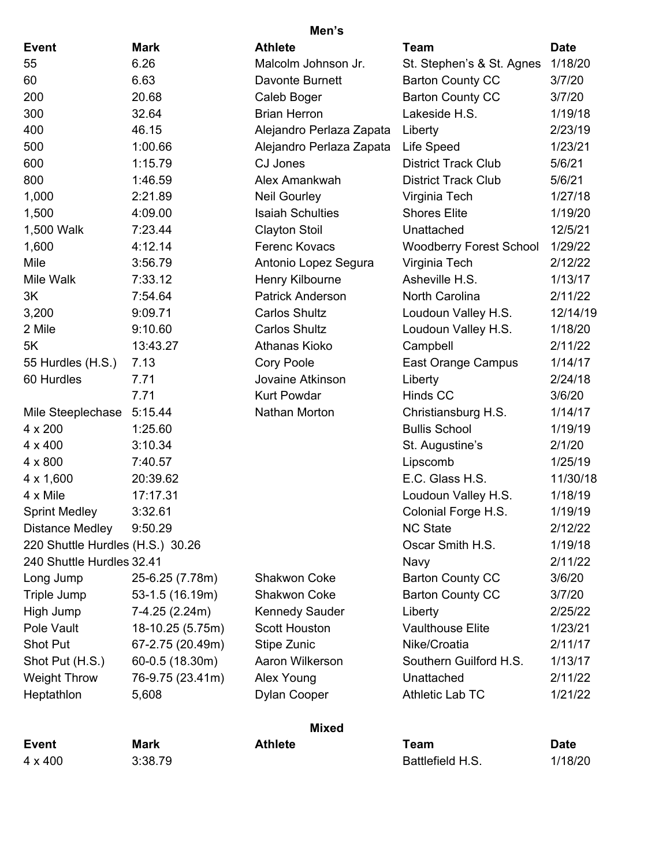|                                  |                  | Men's                    |                                |             |
|----------------------------------|------------------|--------------------------|--------------------------------|-------------|
| <b>Event</b>                     | <b>Mark</b>      | <b>Athlete</b>           | <b>Team</b>                    | <b>Date</b> |
| 55                               | 6.26             | Malcolm Johnson Jr.      | St. Stephen's & St. Agnes      | 1/18/20     |
| 60                               | 6.63             | Davonte Burnett          | <b>Barton County CC</b>        | 3/7/20      |
| 200                              | 20.68            | Caleb Boger              | <b>Barton County CC</b>        | 3/7/20      |
| 300                              | 32.64            | <b>Brian Herron</b>      | Lakeside H.S.                  | 1/19/18     |
| 400                              | 46.15            | Alejandro Perlaza Zapata | Liberty                        | 2/23/19     |
| 500                              | 1:00.66          | Alejandro Perlaza Zapata | Life Speed                     | 1/23/21     |
| 600                              | 1:15.79          | CJ Jones                 | <b>District Track Club</b>     | 5/6/21      |
| 800                              | 1:46.59          | Alex Amankwah            | <b>District Track Club</b>     | 5/6/21      |
| 1,000                            | 2:21.89          | <b>Neil Gourley</b>      | Virginia Tech                  | 1/27/18     |
| 1,500                            | 4:09.00          | <b>Isaiah Schulties</b>  | <b>Shores Elite</b>            | 1/19/20     |
| 1,500 Walk                       | 7:23.44          | <b>Clayton Stoil</b>     | Unattached                     | 12/5/21     |
| 1,600                            | 4:12.14          | Ferenc Kovacs            | <b>Woodberry Forest School</b> | 1/29/22     |
| Mile                             | 3:56.79          | Antonio Lopez Segura     | Virginia Tech                  | 2/12/22     |
| Mile Walk                        | 7:33.12          | Henry Kilbourne          | Asheville H.S.                 | 1/13/17     |
| 3K                               | 7:54.64          | <b>Patrick Anderson</b>  | North Carolina                 | 2/11/22     |
| 3,200                            | 9:09.71          | <b>Carlos Shultz</b>     | Loudoun Valley H.S.            | 12/14/19    |
| 2 Mile                           | 9:10.60          | <b>Carlos Shultz</b>     | Loudoun Valley H.S.            | 1/18/20     |
| 5K                               | 13:43.27         | Athanas Kioko            | Campbell                       | 2/11/22     |
| 55 Hurdles (H.S.)                | 7.13             | Cory Poole               | East Orange Campus             | 1/14/17     |
| 60 Hurdles                       | 7.71             | Jovaine Atkinson         | Liberty                        | 2/24/18     |
|                                  | 7.71             | <b>Kurt Powdar</b>       | Hinds CC                       | 3/6/20      |
| Mile Steeplechase                | 5:15.44          | Nathan Morton            | Christiansburg H.S.            | 1/14/17     |
| 4 x 200                          | 1:25.60          |                          | <b>Bullis School</b>           | 1/19/19     |
| $4 \times 400$                   | 3:10.34          |                          | St. Augustine's                | 2/1/20      |
| 4 x 800                          | 7:40.57          |                          | Lipscomb                       | 1/25/19     |
| $4 \times 1,600$                 | 20:39.62         |                          | E.C. Glass H.S.                | 11/30/18    |
| 4 x Mile                         | 17:17.31         |                          | Loudoun Valley H.S.            | 1/18/19     |
| <b>Sprint Medley</b>             | 3:32.61          |                          | Colonial Forge H.S.            | 1/19/19     |
| <b>Distance Medley</b>           | 9:50.29          |                          | <b>NC State</b>                | 2/12/22     |
| 220 Shuttle Hurdles (H.S.) 30.26 |                  |                          | Oscar Smith H.S.               | 1/19/18     |
| 240 Shuttle Hurdles 32.41        |                  |                          | Navy                           | 2/11/22     |
| Long Jump                        | 25-6.25 (7.78m)  | <b>Shakwon Coke</b>      | <b>Barton County CC</b>        | 3/6/20      |
| Triple Jump                      | 53-1.5 (16.19m)  | <b>Shakwon Coke</b>      | <b>Barton County CC</b>        | 3/7/20      |
| High Jump                        | 7-4.25 (2.24m)   | <b>Kennedy Sauder</b>    | Liberty                        | 2/25/22     |
| Pole Vault                       | 18-10.25 (5.75m) | <b>Scott Houston</b>     | <b>Vaulthouse Elite</b>        | 1/23/21     |
| Shot Put                         | 67-2.75 (20.49m) | Stipe Zunic              | Nike/Croatia                   | 2/11/17     |
| Shot Put (H.S.)                  | 60-0.5 (18.30m)  | Aaron Wilkerson          | Southern Guilford H.S.         | 1/13/17     |
| <b>Weight Throw</b>              | 76-9.75 (23.41m) | Alex Young               | Unattached                     | 2/11/22     |
| Heptathlon                       | 5,608            | Dylan Cooper             | Athletic Lab TC                | 1/21/22     |
|                                  |                  | <b>Mixed</b>             |                                |             |
| <b>Event</b>                     | <b>Mark</b>      | <b>Athlete</b>           | <b>Team</b>                    | <b>Date</b> |
| 4 x 400                          | 3:38.79          |                          | Battlefield H.S.               | 1/18/20     |